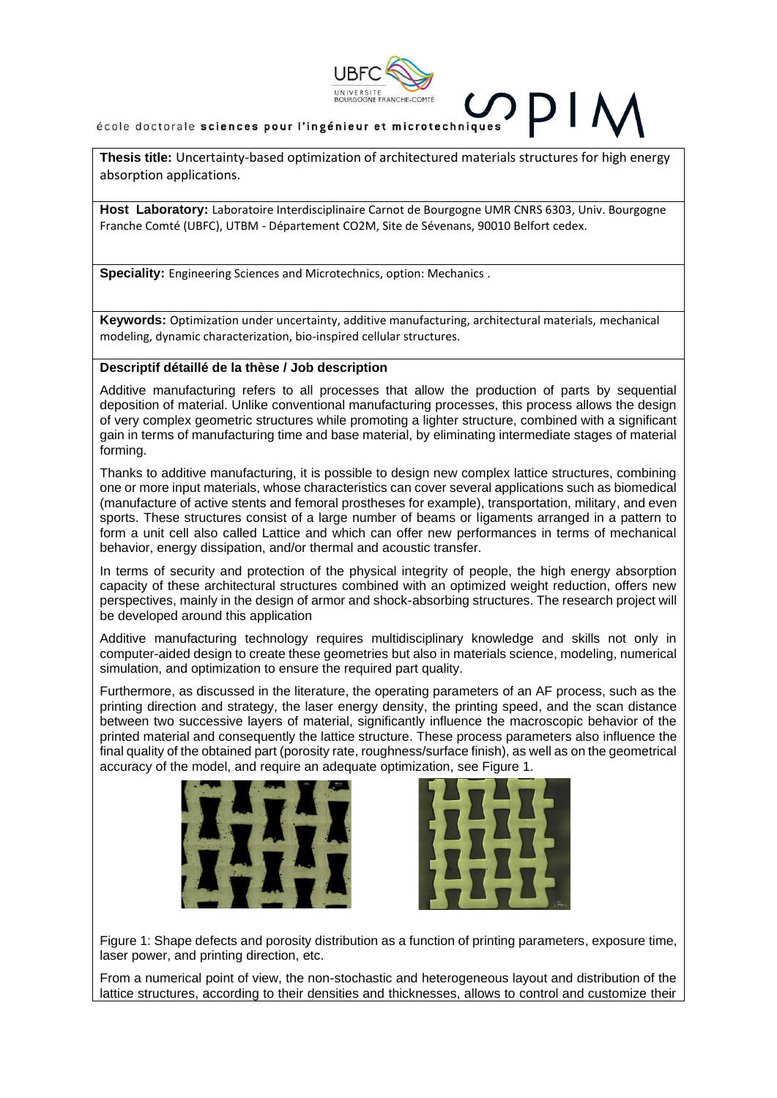

**Thesis title:** Uncertainty-based optimization of architectured materials structures for high energy absorption applications.

Host Laboratory: Laboratoire Interdisciplinaire Carnot de Bourgogne UMR CNRS 6303, Univ. Bourgogne Franche Comté (UBFC), UTBM - Département CO2M, Site de Sévenans, 90010 Belfort cedex.

**Speciality:** Engineering Sciences and Microtechnics, option: Mechanics .

**Keywords:** Optimization under uncertainty, additive manufacturing, architectural materials, mechanical modeling, dynamic characterization, bio-inspired cellular structures.

#### **Descriptif détaillé de la thèse / Job description**

Additive manufacturing refers to all processes that allow the production of parts by sequential deposition of material. Unlike conventional manufacturing processes, this process allows the design of very complex geometric structures while promoting a lighter structure, combined with a significant gain in terms of manufacturing time and base material, by eliminating intermediate stages of material forming.

Thanks to additive manufacturing, it is possible to design new complex lattice structures, combining one or more input materials, whose characteristics can cover several applications such as biomedical (manufacture of active stents and femoral prostheses for example), transportation, military, and even sports. These structures consist of a large number of beams or ligaments arranged in a pattern to form a unit cell also called Lattice and which can offer new performances in terms of mechanical behavior, energy dissipation, and/or thermal and acoustic transfer.

In terms of security and protection of the physical integrity of people, the high energy absorption capacity of these architectural structures combined with an optimized weight reduction, offers new perspectives, mainly in the design of armor and shock-absorbing structures. The research project will be developed around this application

Additive manufacturing technology requires multidisciplinary knowledge and skills not only in computer-aided design to create these geometries but also in materials science, modeling, numerical simulation, and optimization to ensure the required part quality.

Furthermore, as discussed in the literature, the operating parameters of an AF process, such as the printing direction and strategy, the laser energy density, the printing speed, and the scan distance between two successive layers of material, significantly influence the macroscopic behavior of the printed material and consequently the lattice structure. These process parameters also influence the final quality of the obtained part (porosity rate, roughness/surface finish), as well as on the geometrical accuracy of the model, and require an adequate optimization, see Figure 1.





Figure 1: Shape defects and porosity distribution as a function of printing parameters, exposure time, laser power, and printing direction, etc.

From a numerical point of view, the non-stochastic and heterogeneous layout and distribution of the lattice structures, according to their densities and thicknesses, allows to control and customize their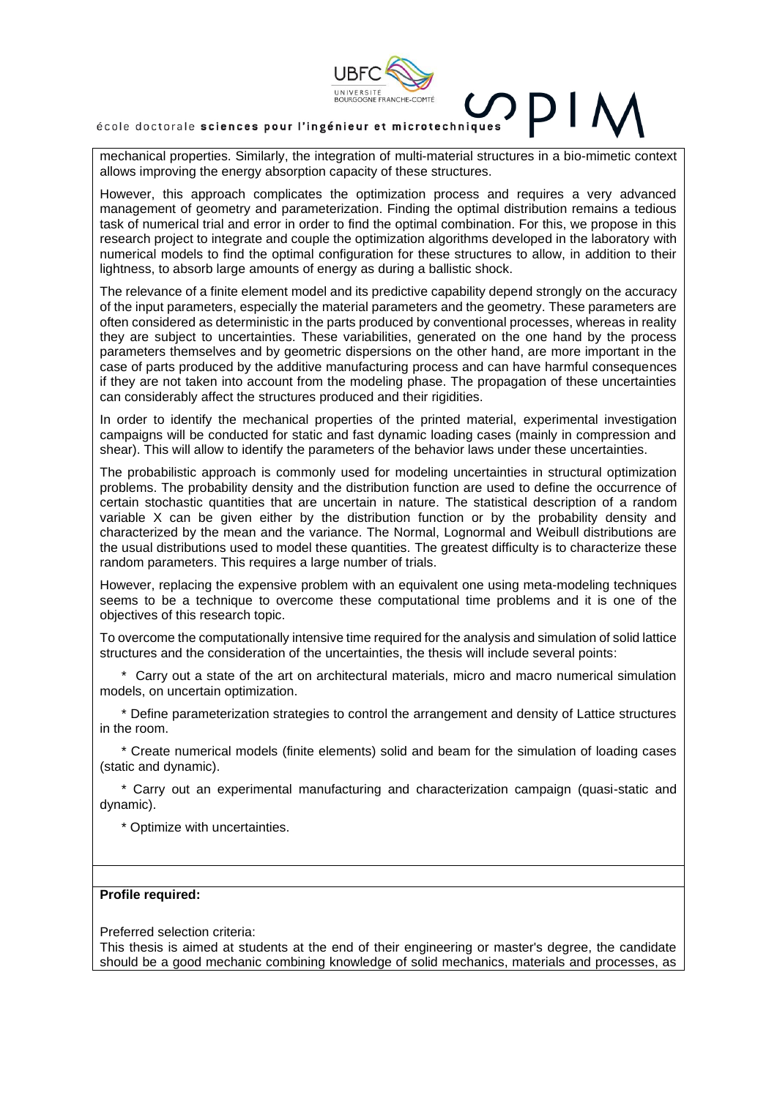

école doctorale sciences pour l'ingénieur et microtechniques

mechanical properties. Similarly, the integration of multi-material structures in a bio-mimetic context allows improving the energy absorption capacity of these structures.

However, this approach complicates the optimization process and requires a very advanced management of geometry and parameterization. Finding the optimal distribution remains a tedious task of numerical trial and error in order to find the optimal combination. For this, we propose in this research project to integrate and couple the optimization algorithms developed in the laboratory with numerical models to find the optimal configuration for these structures to allow, in addition to their lightness, to absorb large amounts of energy as during a ballistic shock.

The relevance of a finite element model and its predictive capability depend strongly on the accuracy of the input parameters, especially the material parameters and the geometry. These parameters are often considered as deterministic in the parts produced by conventional processes, whereas in reality they are subject to uncertainties. These variabilities, generated on the one hand by the process parameters themselves and by geometric dispersions on the other hand, are more important in the case of parts produced by the additive manufacturing process and can have harmful consequences if they are not taken into account from the modeling phase. The propagation of these uncertainties can considerably affect the structures produced and their rigidities.

In order to identify the mechanical properties of the printed material, experimental investigation campaigns will be conducted for static and fast dynamic loading cases (mainly in compression and shear). This will allow to identify the parameters of the behavior laws under these uncertainties.

The probabilistic approach is commonly used for modeling uncertainties in structural optimization problems. The probability density and the distribution function are used to define the occurrence of certain stochastic quantities that are uncertain in nature. The statistical description of a random variable X can be given either by the distribution function or by the probability density and characterized by the mean and the variance. The Normal, Lognormal and Weibull distributions are the usual distributions used to model these quantities. The greatest difficulty is to characterize these random parameters. This requires a large number of trials.

However, replacing the expensive problem with an equivalent one using meta-modeling techniques seems to be a technique to overcome these computational time problems and it is one of the objectives of this research topic.

To overcome the computationally intensive time required for the analysis and simulation of solid lattice structures and the consideration of the uncertainties, the thesis will include several points:

 \* Carry out a state of the art on architectural materials, micro and macro numerical simulation models, on uncertain optimization.

 \* Define parameterization strategies to control the arrangement and density of Lattice structures in the room.

 \* Create numerical models (finite elements) solid and beam for the simulation of loading cases (static and dynamic).

 \* Carry out an experimental manufacturing and characterization campaign (quasi-static and dynamic).

\* Optimize with uncertainties.

#### **Profile required:**

Preferred selection criteria:

This thesis is aimed at students at the end of their engineering or master's degree, the candidate should be a good mechanic combining knowledge of solid mechanics, materials and processes, as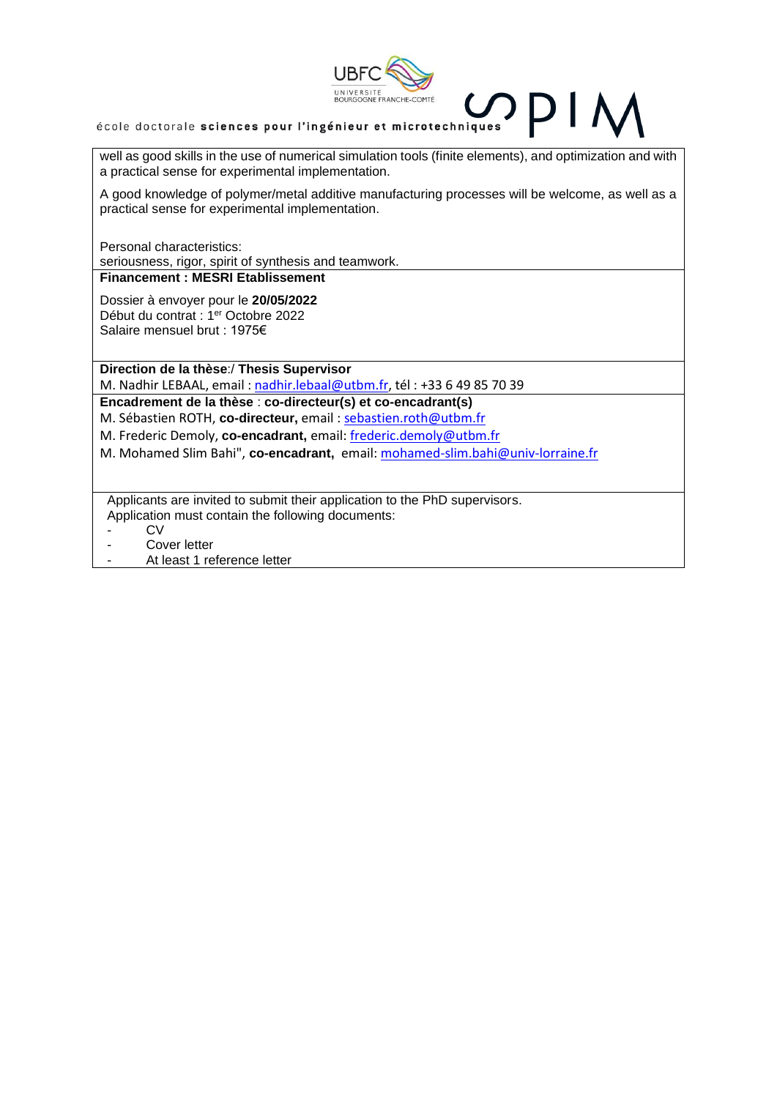

# école doctorale sciences pour l'ingénieur et microtechniques

well as good skills in the use of numerical simulation tools (finite elements), and optimization and with a practical sense for experimental implementation.

A good knowledge of polymer/metal additive manufacturing processes will be welcome, as well as a practical sense for experimental implementation.

Personal characteristics: seriousness, rigor, spirit of synthesis and teamwork.

## **Financement : MESRI Etablissement**

Dossier à envoyer pour le **20/05/2022** Début du contrat : 1<sup>er</sup> Octobre 2022 Salaire mensuel brut : 1975€

**Direction de la thèse**:/ **Thesis Supervisor**

M. Nadhir LEBAAL, email : [nadhir.lebaal@utbm.fr,](mailto:nadhir.lebaal@utbm.fr) tél : +33 6 49 85 70 39

**Encadrement de la thèse** : **co-directeur(s) et co-encadrant(s)**

M. Sébastien ROTH, **co-directeur,** email [: sebastien.roth@utbm.fr](mailto:sebastien.roth@utbm.fr)

M. Frederic Demoly, **co-encadrant,** email: [frederic.demoly@utbm.fr](mailto:frederic.demoly@utbm.fr)

M. Mohamed Slim Bahi", **co-encadrant,** email[: mohamed-slim.bahi@univ-lorraine.fr](mailto:mohamed-slim.bahi@univ-lorraine.fr)

Applicants are invited to submit their application to the PhD supervisors. Application must contain the following documents:

- CV
- Cover letter
- At least 1 reference letter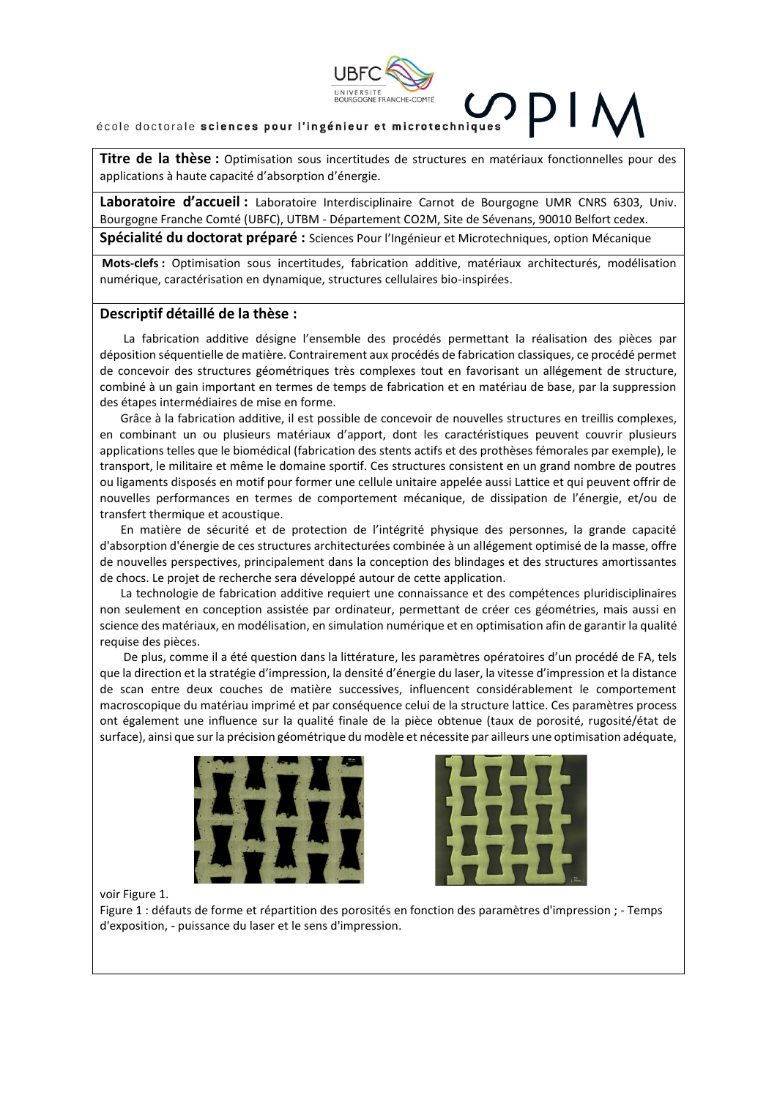

#### école doctorale sciences pour l'ingénieur et microtechniques

**Titre de la thèse :** Optimisation sous incertitudes de structures en matériaux fonctionnelles pour des applications à haute capacité d'absorption d'énergie.

**Laboratoire d'accueil :** Laboratoire Interdisciplinaire Carnot de Bourgogne UMR CNRS 6303, Univ. Bourgogne Franche Comté (UBFC), UTBM - Département CO2M, Site de Sévenans, 90010 Belfort cedex. **Spécialité du doctorat préparé :** Sciences Pour l'Ingénieur et Microtechniques, option Mécanique

**Mots-clefs :** Optimisation sous incertitudes, fabrication additive, matériaux architecturés, modélisation numérique, caractérisation en dynamique, structures cellulaires bio-inspirées.

#### **Descriptif détaillé de la thèse :**

La fabrication additive désigne l'ensemble des procédés permettant la réalisation des pièces par déposition séquentielle de matière. Contrairement aux procédés de fabrication classiques, ce procédé permet de concevoir des structures géométriques très complexes tout en favorisant un allégement de structure, combiné à un gain important en termes de temps de fabrication et en matériau de base, par la suppression des étapes intermédiaires de mise en forme.

Grâce à la fabrication additive, il est possible de concevoir de nouvelles structures en treillis complexes, en combinant un ou plusieurs matériaux d'apport, dont les caractéristiques peuvent couvrir plusieurs applications telles que le biomédical (fabrication des stents actifs et des prothèses fémorales par exemple), le transport, le militaire et même le domaine sportif. Ces structures consistent en un grand nombre de poutres ou ligaments disposés en motif pour former une cellule unitaire appelée aussi Lattice et qui peuvent offrir de nouvelles performances en termes de comportement mécanique, de dissipation de l'énergie, et/ou de transfert thermique et acoustique.

En matière de sécurité et de protection de l'intégrité physique des personnes, la grande capacité d'absorption d'énergie de ces structures architecturées combinée à un allégement optimisé de la masse, offre de nouvelles perspectives, principalement dans la conception des blindages et des structures amortissantes de chocs. Le projet de recherche sera développé autour de cette application.

La technologie de fabrication additive requiert une connaissance et des compétences pluridisciplinaires non seulement en conception assistée par ordinateur, permettant de créer ces géométries, mais aussi en science des matériaux, en modélisation, en simulation numérique et en optimisation afin de garantir la qualité requise des pièces.

De plus, comme il a été question dans la littérature, les paramètres opératoires d'un procédé de FA, tels que la direction et la stratégie d'impression, la densité d'énergie du laser, la vitesse d'impression et la distance de scan entre deux couches de matière successives, influencent considérablement le comportement macroscopique du matériau imprimé et par conséquence celui de la structure lattice. Ces paramètres process ont également une influence sur la qualité finale de la pièce obtenue (taux de porosité, rugosité/état de surface), ainsi que sur la précision géométrique du modèle et nécessite par ailleurs une optimisation adéquate,





voir Figure 1.

Figure 1 : défauts de forme et répartition des porosités en fonction des paramètres d'impression ; - Temps d'exposition, - puissance du laser et le sens d'impression.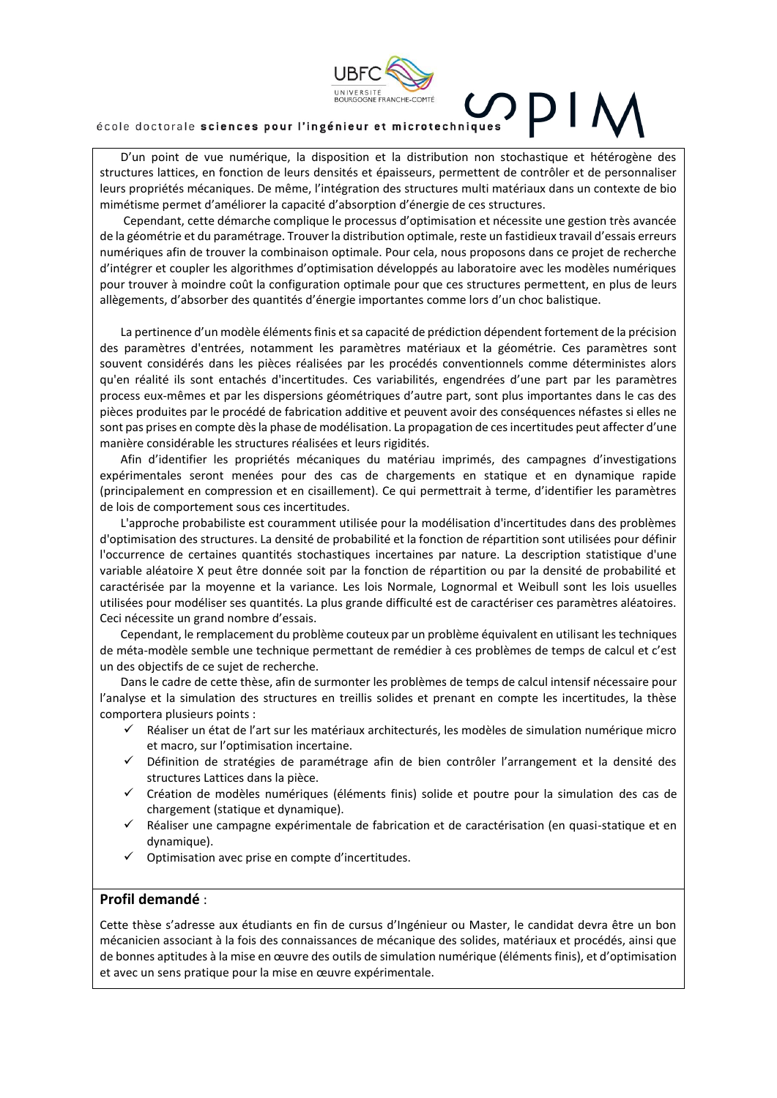

D'un point de vue numérique, la disposition et la distribution non stochastique et hétérogène des structures lattices, en fonction de leurs densités et épaisseurs, permettent de contrôler et de personnaliser leurs propriétés mécaniques. De même, l'intégration des structures multi matériaux dans un contexte de bio mimétisme permet d'améliorer la capacité d'absorption d'énergie de ces structures.

Cependant, cette démarche complique le processus d'optimisation et nécessite une gestion très avancée de la géométrie et du paramétrage. Trouver la distribution optimale, reste un fastidieux travail d'essais erreurs numériques afin de trouver la combinaison optimale. Pour cela, nous proposons dans ce projet de recherche d'intégrer et coupler les algorithmes d'optimisation développés au laboratoire avec les modèles numériques pour trouver à moindre coût la configuration optimale pour que ces structures permettent, en plus de leurs allègements, d'absorber des quantités d'énergie importantes comme lors d'un choc balistique.

La pertinence d'un modèle éléments finis et sa capacité de prédiction dépendent fortement de la précision des paramètres d'entrées, notamment les paramètres matériaux et la géométrie. Ces paramètres sont souvent considérés dans les pièces réalisées par les procédés conventionnels comme déterministes alors qu'en réalité ils sont entachés d'incertitudes. Ces variabilités, engendrées d'une part par les paramètres process eux-mêmes et par les dispersions géométriques d'autre part, sont plus importantes dans le cas des pièces produites par le procédé de fabrication additive et peuvent avoir des conséquences néfastes si elles ne sont pas prises en compte dès la phase de modélisation. La propagation de ces incertitudes peut affecter d'une manière considérable les structures réalisées et leurs rigidités.

Afin d'identifier les propriétés mécaniques du matériau imprimés, des campagnes d'investigations expérimentales seront menées pour des cas de chargements en statique et en dynamique rapide (principalement en compression et en cisaillement). Ce qui permettrait à terme, d'identifier les paramètres de lois de comportement sous ces incertitudes.

L'approche probabiliste est couramment utilisée pour la modélisation d'incertitudes dans des problèmes d'optimisation des structures. La densité de probabilité et la fonction de répartition sont utilisées pour définir l'occurrence de certaines quantités stochastiques incertaines par nature. La description statistique d'une variable aléatoire X peut être donnée soit par la fonction de répartition ou par la densité de probabilité et caractérisée par la moyenne et la variance. Les lois Normale, Lognormal et Weibull sont les lois usuelles utilisées pour modéliser ses quantités. La plus grande difficulté est de caractériser ces paramètres aléatoires. Ceci nécessite un grand nombre d'essais.

Cependant, le remplacement du problème couteux par un problème équivalent en utilisant les techniques de méta-modèle semble une technique permettant de remédier à ces problèmes de temps de calcul et c'est un des objectifs de ce sujet de recherche.

Dans le cadre de cette thèse, afin de surmonter les problèmes de temps de calcul intensif nécessaire pour l'analyse et la simulation des structures en treillis solides et prenant en compte les incertitudes, la thèse comportera plusieurs points :

- Réaliser un état de l'art sur les matériaux architecturés, les modèles de simulation numérique micro et macro, sur l'optimisation incertaine.
- ✓ Définition de stratégies de paramétrage afin de bien contrôler l'arrangement et la densité des structures Lattices dans la pièce.
- ✓ Création de modèles numériques (éléments finis) solide et poutre pour la simulation des cas de chargement (statique et dynamique).
- Réaliser une campagne expérimentale de fabrication et de caractérisation (en quasi-statique et en dynamique).
- ✓ Optimisation avec prise en compte d'incertitudes.

#### **Profil demandé** :

Cette thèse s'adresse aux étudiants en fin de cursus d'Ingénieur ou Master, le candidat devra être un bon mécanicien associant à la fois des connaissances de mécanique des solides, matériaux et procédés, ainsi que de bonnes aptitudes à la mise en œuvre des outils de simulation numérique (éléments finis), et d'optimisation et avec un sens pratique pour la mise en œuvre expérimentale.